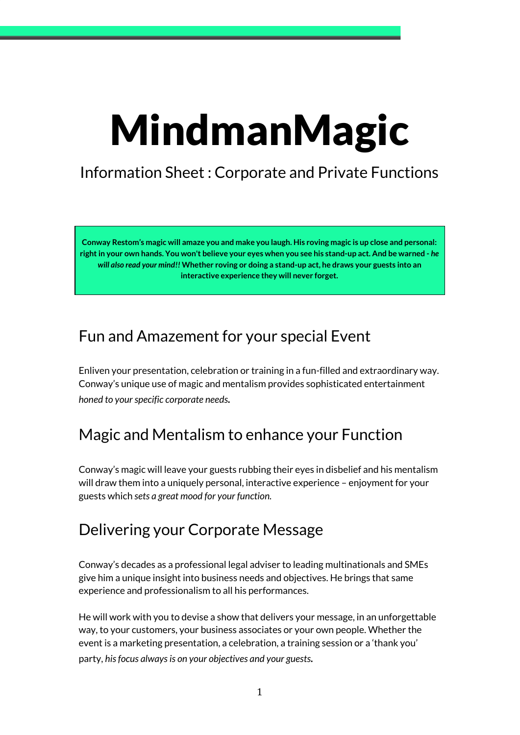# MindmanMagic

# Information Sheet : Corporate and Private Functions

Conway Restom's magic will amaze you and make you laugh. His roving magic is up close and personal: right in your own hands. You won't believe your eyes when you see his stand-up act. And be warned - he *will also read your mind!!* **Whether roving or doing a stand-up act, he draws your guests into an interactive experience they will never forget.**

## Fun and Amazement for your special Event

Enliven your presentation, celebration or training in a fun-filled and extraordinary way. Conway's unique use of magic and mentalism provides sophisticated entertainment *honed to yourspecific corporate needs.*

## Magic and Mentalism to enhance your Function

Conway's magic will leave your guests rubbing their eyes in disbelief and his mentalism will draw them into a uniquely personal, interactive experience – enjoyment for your guests which *sets a great mood for your function.*

## Delivering your Corporate Message

Conway's decades as a professional legal adviser to leading multinationals and SMEs give him a unique insight into business needs and objectives. He brings that same experience and professionalism to all his performances.

He will work with you to devise a show that delivers your message, in an unforgettable way, to your customers, your business associates or your own people. Whether the event is a marketing presentation, a celebration, a training session or a 'thank you' party, *hisfocus alwaysis on your objectives and your guests.*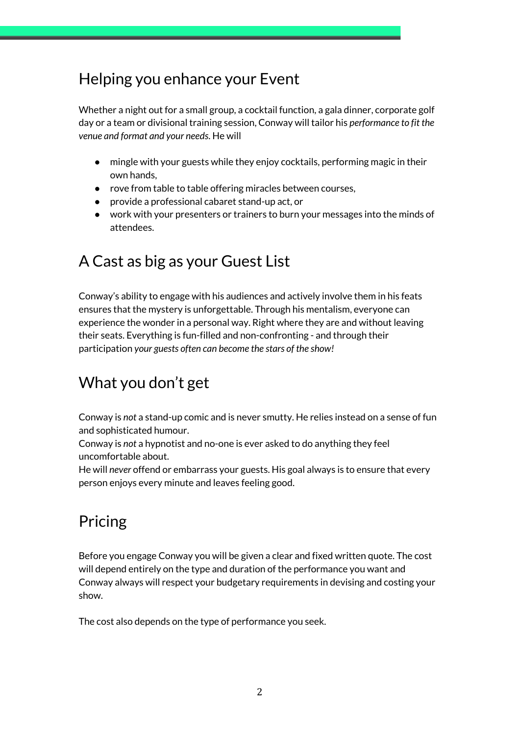# Helping you enhance your Event

Whether a night out for a small group, a cocktail function, a gala dinner, corporate golf day or a team or divisional training session, Conway will tailor his *performance to fit the venue and format and your needs*. He will

- mingle with your guests while they enjoy cocktails, performing magic in their own hands,
- rove from table to table offering miracles between courses,
- provide a professional cabaret stand-up act, or
- work with your presenters or trainers to burn your messages into the minds of attendees.

# A Cast as big as your Guest List

Conway's ability to engage with his audiences and actively involve them in his feats ensures that the mystery is unforgettable. Through his mentalism, everyone can experience the wonder in a personal way. Right where they are and without leaving their seats. Everything is fun-filled and non-confronting - and through their participation *your guests often can become the stars of the show!*

# What you don't get

Conway is *not* a stand-up comic and is never smutty. He relies instead on a sense of fun and sophisticated humour.

Conway is *not* a hypnotist and no-one is ever asked to do anything they feel uncomfortable about.

He will *never* offend or embarrass your guests. His goal always is to ensure that every person enjoys every minute and leaves feeling good.

# Pricing

Before you engage Conway you will be given a clear and fixed written quote. The cost will depend entirely on the type and duration of the performance you want and Conway always will respect your budgetary requirements in devising and costing your show.

The cost also depends on the type of performance you seek.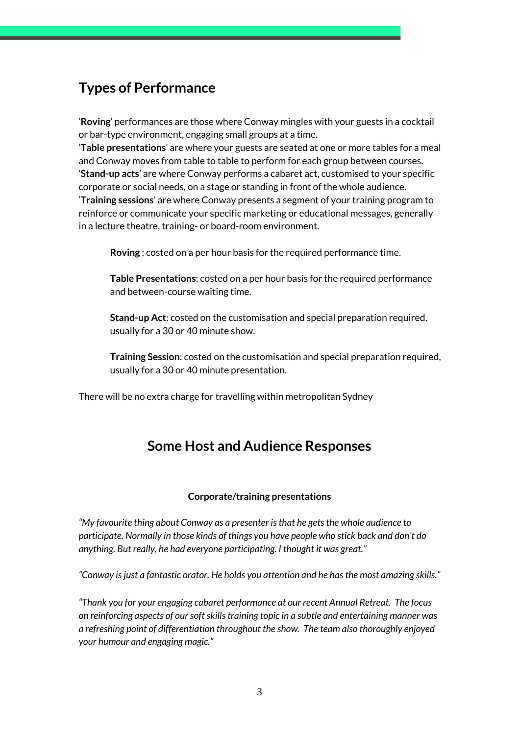## **Types of Performance**

'**Roving**' performances are those where Conway mingles with your guests in a cocktail or bar-type environment, engaging small groups at a time.

'**Table presentations**' are where your guests are seated at one or more tables for a meal and Conway moves from table to table to perform for each group between courses. '**Stand-up acts**' are where Conway performs a cabaret act, customised to your specific corporate or social needs, on a stage or standing in front of the whole audience. '**Training sessions**' are where Conway presents a segment of your training program to reinforce or communicate your specific marketing or educational messages, generally in a lecture theatre, training- or board-room environment.

**Roving** : costed on a per hour basis for the required performance time.

**Table Presentations**: costed on a per hour basis for the required performance and between-course waiting time.

**Stand-up Act**: costed on the customisation and special preparation required, usually for a 30 or 40 minute show.

**Training Session**: costed on the customisation and special preparation required, usually for a 30 or 40 minute presentation.

There will be no extra charge for travelling within metropolitan Sydney

#### **Some Host and Audience Responses**

#### **Corporate/training presentations**

*"My favourite thing about Conway as a presenter isthat he getsthe whole audience to participate. Normally in those kinds of things you have people who stick back and don't do anything. But really, he had everyone participating. I thought it was great."*

*"Conway isjust a fantastic orator. He holds you attention and he hasthe most amazing skills."*

*"Thank you for your engaging cabaret performance at our recent Annual Retreat. The focus on reinforcing aspects of oursoftskillstraining topic in a subtle and entertaining manner was a refreshing point of differentiation throughout the show. The team also thoroughly enjoyed your humour and engaging magic."*